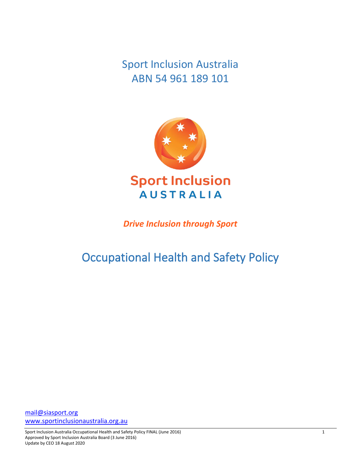Sport Inclusion Australia ABN 54 961 189 101



*Drive Inclusion through Sport*

# Occupational Health and Safety Policy

[mail@siasport.org](mailto:mail@siasport.org) [www.sportinclusionaustralia.org.](http://www.sportinclusionaustralia.org/)au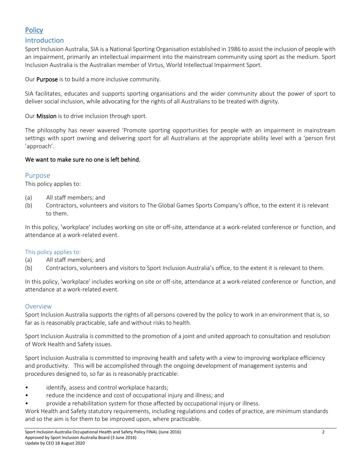# **Policy**

# Introduction

Sport Inclusion Australia, SIA is a National Sporting Organisation established in 1986 to assist the inclusion of people with an impairment, primarily an intellectual impairment into the mainstream community using sport as the medium. Sport Inclusion Australia is the Australian member of Virtus, World Intellectual Impairment Sport.

Our Purpose is to build a more inclusive community.

SIA facilitates, educates and supports sporting organisations and the wider community about the power of sport to deliver social inclusion, while advocating for the rights of all Australians to be treated with dignity.

Our Mission is to drive inclusion through sport.

The philosophy has never wavered 'Promote sporting opportunities for people with an impairment in mainstream settings with sport owning and delivering sport for all Australians at the appropriate ability level with a 'person first 'approach'.

# We want to make sure no one is left behind.

# Purpose

This policy applies to:

- (a) All staff members; and
- (b) Contractors, volunteers and visitors to The Global Games Sports Company's office, to the extent it is relevant to them.

In this policy, 'workplace' includes working on site or off-site, attendance at a work-related conference or function, and attendance at a work-related event.

## This policy applies to:

- (a) All staff members; and
- (b) Contractors, volunteers and visitors to Sport Inclusion Australia's office, to the extent it is relevant to them.

In this policy, 'workplace' includes working on site or off-site, attendance at a work-related conference or function, and attendance at a work-related event.

#### Overview

Sport Inclusion Australia supports the rights of all persons covered by the policy to work in an environment that is, so far as is reasonably practicable, safe and without risks to health.

Sport Inclusion Australia is committed to the promotion of a joint and united approach to consultation and resolution of Work Health and Safety issues.

Sport Inclusion Australia is committed to improving health and safety with a view to improving workplace efficiency and productivity. This will be accomplished through the ongoing development of management systems and procedures designed to, so far as is reasonably practicable:

- identify, assess and control workplace hazards;
- reduce the incidence and cost of occupational injury and illness; and
- provide a rehabilitation system for those affected by occupational injury or illness.

Work Health and Safety statutory requirements, including regulations and codes of practice, are minimum standards and so the aim is for them to be improved upon, where practicable.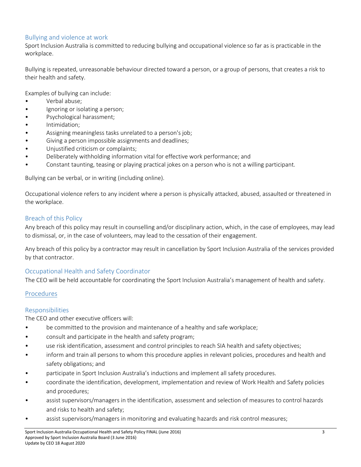# Bullying and violence at work

Sport Inclusion Australia is committed to reducing bullying and occupational violence so far as is practicable in the workplace.

Bullying is repeated, unreasonable behaviour directed toward a person, or a group of persons, that creates a risk to their health and safety.

Examples of bullying can include:

- Verbal abuse;
- Ignoring or isolating a person;
- Psychological harassment;
- Intimidation;
- Assigning meaningless tasks unrelated to a person's job;
- Giving a person impossible assignments and deadlines;
- Unjustified criticism or complaints;
- Deliberately withholding information vital for effective work performance; and
- Constant taunting, teasing or playing practical jokes on a person who is not a willing participant.

Bullying can be verbal, or in writing (including online).

Occupational violence refers to any incident where a person is physically attacked, abused, assaulted or threatened in the workplace.

# Breach of this Policy

Any breach of this policy may result in counselling and/or disciplinary action, which, in the case of employees, may lead to dismissal, or, in the case of volunteers, may lead to the cessation of their engagement.

Any breach of this policy by a contractor may result in cancellation by Sport Inclusion Australia of the services provided by that contractor.

# Occupational Health and Safety Coordinator

The CEO will be held accountable for coordinating the Sport Inclusion Australia's management of health and safety.

## **Procedures**

## Responsibilities

The CEO and other executive officers will:

- be committed to the provision and maintenance of a healthy and safe workplace;
- consult and participate in the health and safety program;
- use risk identification, assessment and control principles to reach SIA health and safety objectives;
- inform and train all persons to whom this procedure applies in relevant policies, procedures and health and safety obligations; and
- participate in Sport Inclusion Australia's inductions and implement all safety procedures.
- coordinate the identification, development, implementation and review of Work Health and Safety policies and procedures;
- assist supervisors/managers in the identification, assessment and selection of measures to control hazards and risks to health and safety;
- assist supervisors/managers in monitoring and evaluating hazards and risk control measures;